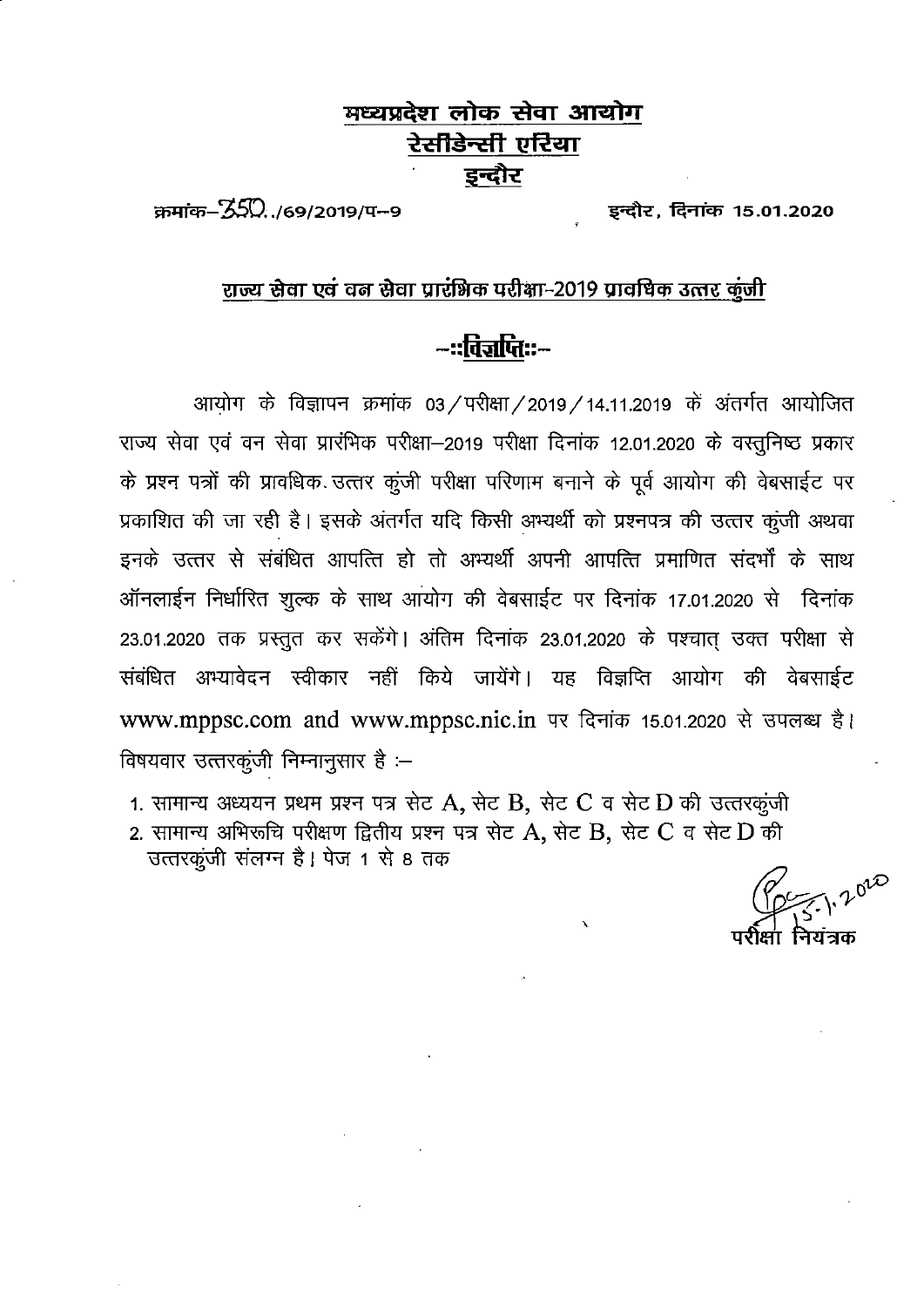## मध्यप्रदेश लोक सेवा आयोग रेसीडेन्स<u>ी एरिया</u> इन्दौर

 $\pi$ मांक- $350.769/2019/4-9$ 

इन्दौर, दिनांक 15.01.2020

### राज्य सेवा एवं वन सेवा प्रारंभिक परीक्षा-2019 प्रावधिक उत्तर कुंजी

# -::विज्ञप्तिः**:-**-

आयोग के विज्ञापन क्रमांक 03 / परीक्षा / 2019 / 14.11.2019 के अंतर्गत आयोजित राज्य सेवा एवं वन सेवा प्रारंभिक परीक्षा–2019 परीक्षा दिनांक 12.01.2020 के वस्तुनिष्ठ प्रकार के प्रश्न पत्रों की प्रावधिक उत्तर कूंजी परीक्षा परिणाम बनाने के पूर्व आयोग की वेबसाईट पर प्रकाशित की जा रही है। इसके अंतर्गत यदि किसी अभ्यर्थी को प्रश्नपत्र की उत्तर कुंजी अथवा इनके उत्तर से संबंधित आपत्ति हो तो अभ्यर्थी अपनी आपत्ति प्रमाणित संदर्भों के साथ ऑनलाईन निर्धारित शुल्क के साथ आयोग की वेबसाईट पर दिनांक 17.01.2020 से दिनांक 23.01.2020 तक प्रस्तुत कर सकेंगे। अंतिम दिनांक 23.01.2020 के पश्चात उक्त परीक्षा से संबंधित अभ्यावेदन स्वीकार नहीं किये जायेंगे। यह विज्ञप्ति आयोग की वेबसाईट www.mppsc.com and www.mppsc.nic.in पर दिनांक 15.01.2020 से उपलब्ध है। विषयवार उत्तरकूंजी निम्नानुसार है :-

1. सामान्य अध्ययन प्रथम प्रश्न पत्र सेट A, सेट B, सेट C व सेट D की उत्तरकूंजी

2. सामान्य अभिरूचि परीक्षण द्वितीय प्रश्न पत्र सेट A, सेट B, सेट C व सेट D की उत्तरकूंजी संलग्न है। पेज 1 से 8 तक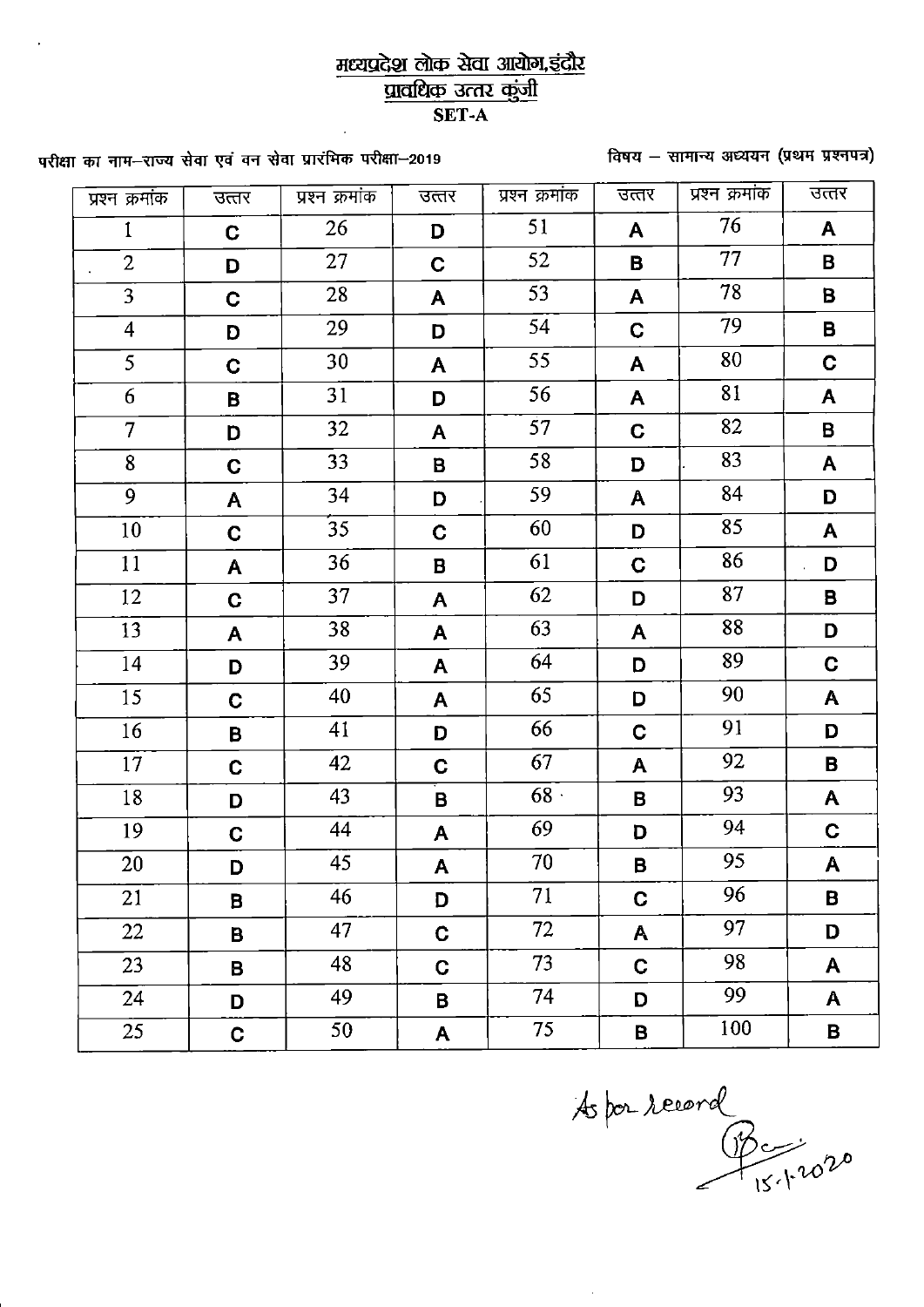### मध्यप्रदेश लोक सेवा आयोग,इंदौर प्रावधिक उत्तर कुंजी SET-A

विषय - सामान्य अध्ययन (प्रथम प्रश्नपत्र)

परीक्षा का नाम-राज्य सेवा एवं वन सेवा प्रारंभिक परीक्षा-2019

| प्रश्न क्रमांक          | उत्तर       | प्रश्न क्रमांक  | उत्तर                     | प्रश्न क्रमांक  | उत्तर        | प्रश्न क्रमांक  | उत्तर                   |
|-------------------------|-------------|-----------------|---------------------------|-----------------|--------------|-----------------|-------------------------|
| $\mathbf{1}$            | $\mathbf C$ | 26              | D                         | 51              | A            | 76              | A                       |
| $\overline{2}$          | D           | 27              | $\mathbf C$               | 52              | B            | 77              | B                       |
| $\overline{3}$          | C           | 28              | A                         | 53              | A            | 78              | B                       |
| $\overline{\mathbf{4}}$ | D           | 29              | D                         | $\overline{54}$ | $\mathbf C$  | 79              | $\overline{\mathbf{B}}$ |
| 5                       | $\mathbf C$ | 30              | A                         | 55              | $\mathbf{A}$ | 80              | $\mathbf C$             |
| 6                       | B           | 31              | D                         | 56              | A            | 81              | A                       |
| $\overline{7}$          | D           | 32              | A                         | 57              | $\mathbf C$  | 82              | B                       |
| 8                       | $\mathbf C$ | 33              | B                         | 58              | D            | 83              | A                       |
| $\overline{9}$          | A           | 34              | D                         | 59              | A            | 84              | D                       |
| 10                      | $\mathbf C$ | $\overline{35}$ | $\mathbf C$               | 60              | D            | 85              | A                       |
| 11                      | A           | 36              | $\, {\bf B}$              | 61              | $\mathbf C$  | 86              | D                       |
| 12                      | $\mathbf C$ | 37              | A                         | 62              | D            | 87              | B                       |
| 13                      | A           | 38              | A                         | 63              | $\mathsf{A}$ | 88              | D                       |
| 14                      | D           | 39              | A                         | 64              | D            | 89              | $\mathbf C$             |
| 15                      | $\mathbf C$ | 40              | A                         | 65              | D            | 90              | $\mathbf{A}$            |
| 16                      | B           | 41              | D                         | 66              | $\mathbf C$  | 91              | D                       |
| 17                      | $\mathbf C$ | 42              | $\mathbf C$               | 67              | A            | 92              | B                       |
| 18                      | D           | 43              | B                         | 68.             | B            | 93              | $\mathsf{A}$            |
| 19                      | $\mathbf C$ | 44              | A                         | 69              | D            | 94              | C.                      |
| 20                      | D           | 45              | $\boldsymbol{\mathsf{A}}$ | 70              | B            | $\overline{95}$ | $\mathsf{A}$            |
| 21                      | B           | 46              | D                         | 71              | $\mathbf C$  | 96              | B                       |
| 22                      | B.          | 47              | $\mathbf C$               | 72              | A            | 97              | D                       |
| 23                      | B.          | 48              | $\mathbf C$               | 73              | $\mathbf C$  | 98              | A                       |
| 24                      | D           | 49              | B                         | 74              | D            | 99              | A                       |
| 25                      | $\mathbf C$ | 50              | A                         | 75              | B            | 100             | B                       |

As por record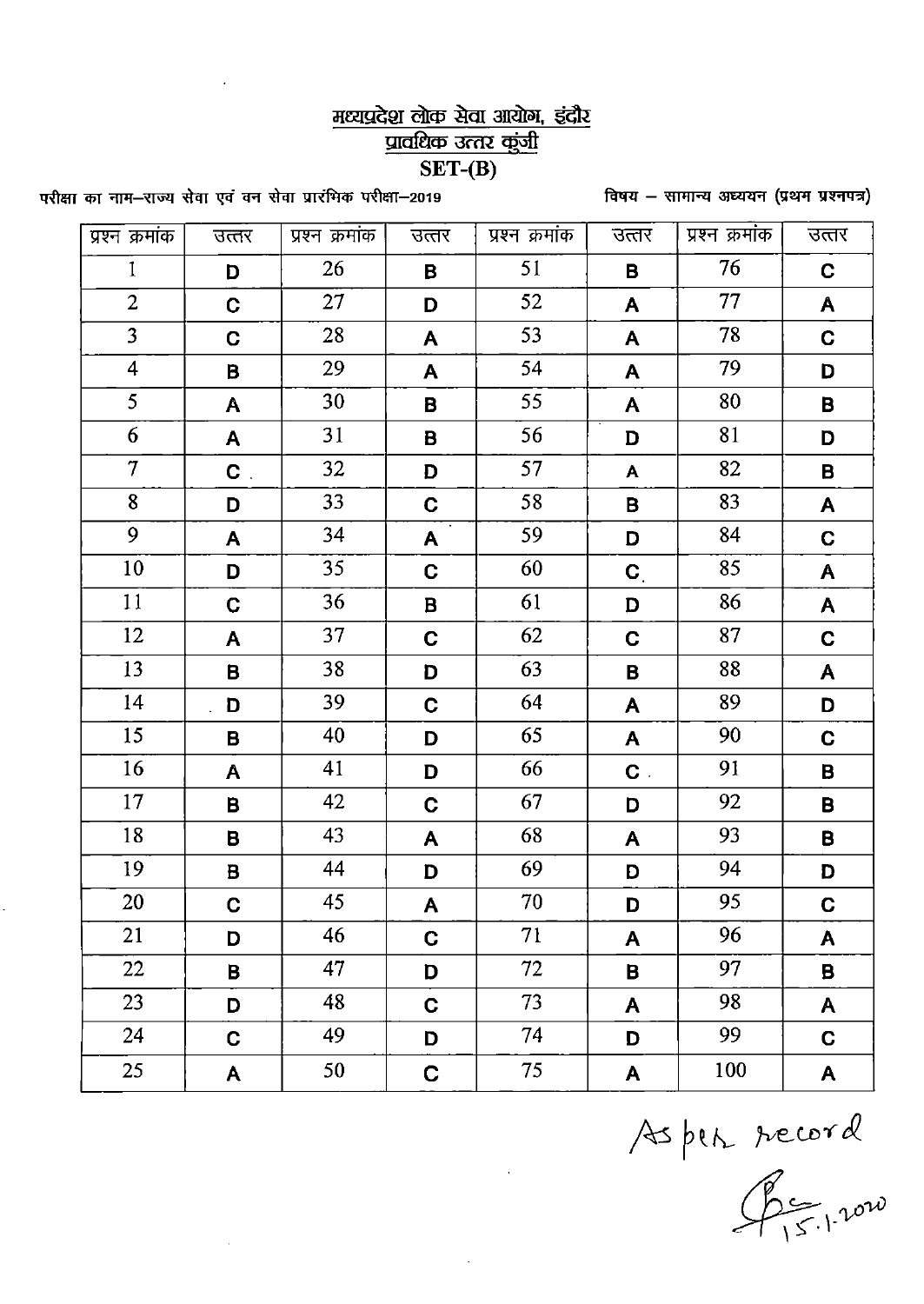## मध्यप्रदेश लोक सेवा आयोग, इंदौर प्रावधिक उत्तर कुंजी

#### $SET-(B)$

विषय - सामान्य अध्ययन (प्रथम प्रश्नपत्र)

परीक्षा का नाम-राज्य सेवा एवं वन सेवा प्रारंभिक परीक्षा–2019

÷,

| प्रश्न क्रमांक    | उत्तर        | प्रश्न क्रमांक  | उत्तर        | प्रश्न क्रमांक | उत्तर                     | प्रश्न क्रमांक | उत्तर              |
|-------------------|--------------|-----------------|--------------|----------------|---------------------------|----------------|--------------------|
| $\mathbf{1}$      | D            | 26              | B            | 51             | В                         | 76             | $\mathbf C$        |
| $\overline{2}$    | $\mathbf C$  | 27              | D            | 52             | A                         | 77             | A                  |
| $\overline{3}$    | C.           | 28              | A            | 53             | A                         | 78             | C                  |
| $\overline{4}$    | B            | 29              | A            | 54             | A                         | 79             | D                  |
| $\overline{5}$    | A            | 30              | B            | 55             | A                         | 80             | $\pmb{\mathsf{B}}$ |
| 6                 | A            | 31              | B            | 56             | D                         | 81             | D                  |
| $\overline{\tau}$ | $\mathbf{C}$ | 32              | D            | 57             | $\boldsymbol{\mathsf{A}}$ | 82             | B                  |
| 8                 | D            | 33              | $\mathbf C$  | 58             | B                         | 83             | A                  |
| $\overline{9}$    | A            | 34              | A.           | 59             | D                         | 84             | $\mathbf C$        |
| 10                | D            | 35 <sub>1</sub> | $\mathbf C$  | 60             | $\mathbf{C}_{\perp}$      | 85             | ${\bf A}$          |
| 11                | $\mathbf C$  | 36              | $\mathbf{B}$ | 61             | D                         | 86             | $\mathsf{A}$       |
| 12                | A            | 37              | $\mathbf C$  | 62             | $\mathbf C$               | 87             | $\mathbf C$        |
| 13                | B            | 38              | D            | 63             | В                         | 88             | A                  |
| 14                | D            | 39              | C            | 64             | A                         | 89             | D                  |
| 15                | B            | 40              | D            | 65             | A                         | 90             | $\mathbf C$        |
| 16                | $\mathsf{A}$ | 41              | D            | 66             | $\mathbf{C}$ .            | 91             | $\pmb{\mathsf{B}}$ |
| 17                | B            | 42              | $\mathbf C$  | 67             | D                         | 92             | B                  |
| 18                | B            | 43              | A            | 68             | A                         | 93             | B                  |
| 19                | B            | 44              | D            | 69             | D                         | 94             | D                  |
| 20                | C            | 45              | A            | 70             | D                         | 95             | C                  |
| 21                | D            | 46              | $\mathbf{C}$ | 71             | A                         | 96             | A                  |
| 22                | $\mathbf B$  | 47              | D            | 72             | B                         | 97             | B                  |
| 23                | D            | 48              | $\mathbf C$  | 73             | A                         | 98             | $\mathbf{A}$       |
| 24                | C            | 49              | D            | 74             | D                         | 99             | $\mathbf C$        |
| 25                | $\mathsf{A}$ | 50              | $\mathbf C$  | 75             | A                         | 100            | A                  |

Aspen record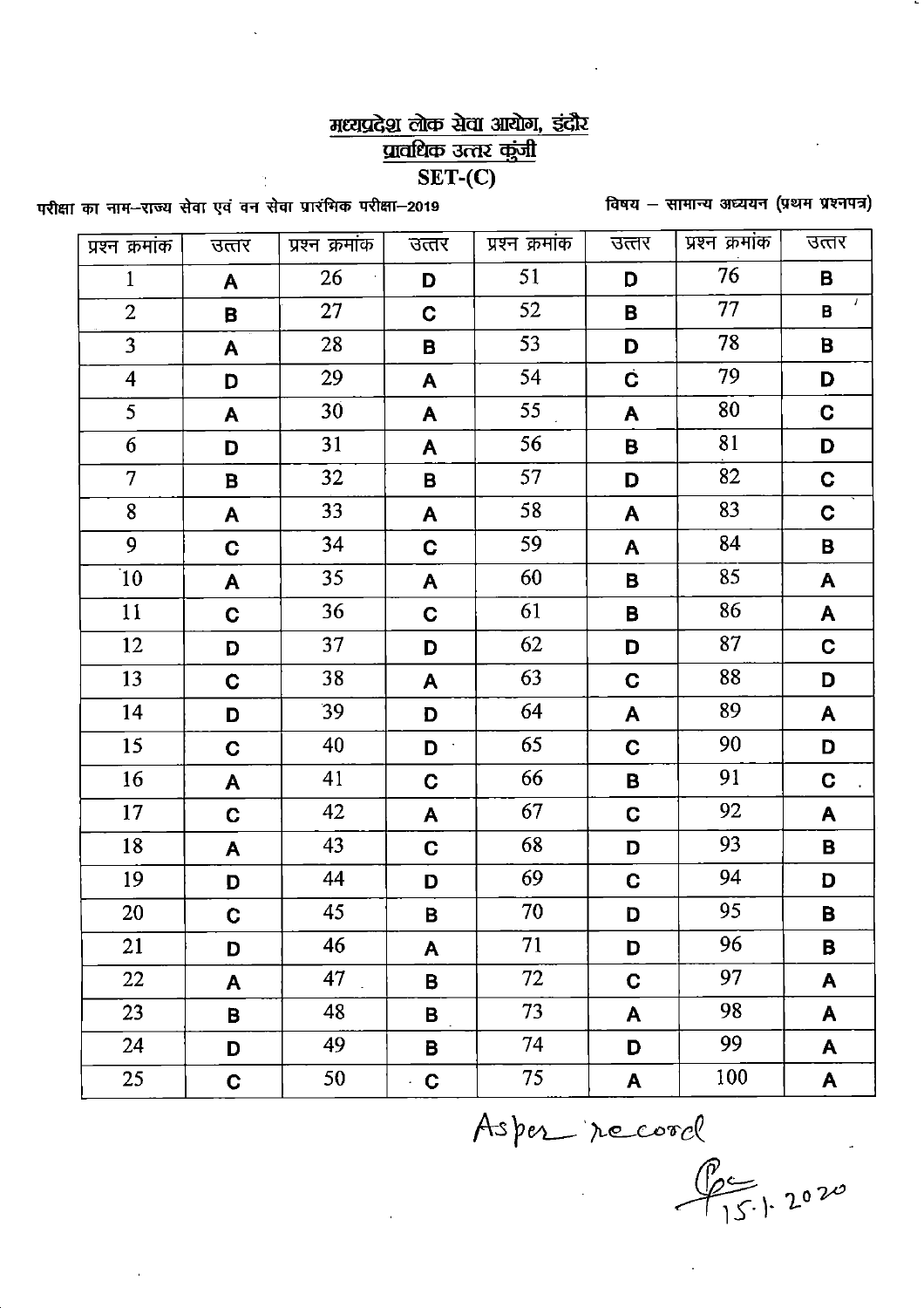# मध्यप्रदेश लोक सेवा आयोग, इंदौर

प्रावधिक उत्तर कुंजी

 $\overline{\text{SET}-(C)}$ 

विषय - सामान्य अध्ययन (प्रथम प्रश्नपत्र)

परीक्षा का नाम--राज्य सेवा एवं वन सेवा प्रारंभिक परीक्षा-2019

| प्रश्न क्रमांक          | उत्तर        | प्रश्न क्रमांक | उत्तर        | प्रश्न क्रमांक | उत्तर        | प्रश्न क्रमांक | उत्तर       |
|-------------------------|--------------|----------------|--------------|----------------|--------------|----------------|-------------|
| $\mathbf{1}$            | A            | 26             | D            | 51             | D            | 76             | B           |
| $\overline{2}$          | B            | 27             | $\mathbf{C}$ | 52             | B            | 77             | 7<br>B      |
| $\overline{3}$          | A            | 28             | B            | 53             | D            | 78             | B           |
| $\overline{\mathbf{4}}$ | D            | 29             | A            | 54             | Ċ            | 79             | D           |
| 5                       | A            | 30             | A            | 55             | A            | 80             | C.          |
| 6                       | D            | 31             | A            | 56             | B            | 81             | D           |
| $\overline{7}$          | B            | 32             | B            | 57             | D            | 82             | C           |
| 8                       | A            | 33             | A            | 58             | A            | 83             | $\mathbf C$ |
| 9                       | C            | 34             | C            | 59             | A            | 84             | B           |
| 10                      | A            | 35             | A            | 60             | В            | 85             | A           |
| 11                      | $\mathbf C$  | 36             | $\mathbf C$  | 61             | B            | 86             | A           |
| 12                      | D            | 37             | D            | 62             | D            | 87             | C           |
| 13                      | $\mathbf C$  | 38             | A            | 63             | $\mathbf C$  | 88             | D           |
| 14                      | D            | 39             | D            | 64             | A            | 89             | A           |
| 15                      | $\mathbf C$  | 40             | D            | 65             | C            | 90             | D           |
| 16                      | A            | 41             | $\mathbf C$  | 66             | B            | 91             | $\mathbf C$ |
| 17                      | $\mathbf C$  | 42             | A            | 67             | C            | 92             | A           |
| 18                      | A            | 43             | C.           | 68             | D            | 93             | B           |
| 19                      | D            | 44             | D            | 69             | C            | 94             | D           |
| 20                      | $\mathbf{C}$ | 45             | $\mathbf{B}$ | 70             | D            | 95             | B           |
| 21                      | D            | 46             | A            | 71             | D            | 96             | B           |
| 22                      | A            | 47             | B            | 72             | $\mathbf C$  | 97             | A           |
| 23                      | B            | 48             | B            | 73             | $\mathbf{A}$ | 98             | A           |
| 24                      | D            | 49             | B            | 74             | D            | 99             | A           |
| 25                      | $\mathbf C$  | 50             | $\mathbf C$  | 75             | A            | 100            | A           |
| Asper record            |              |                |              |                |              |                |             |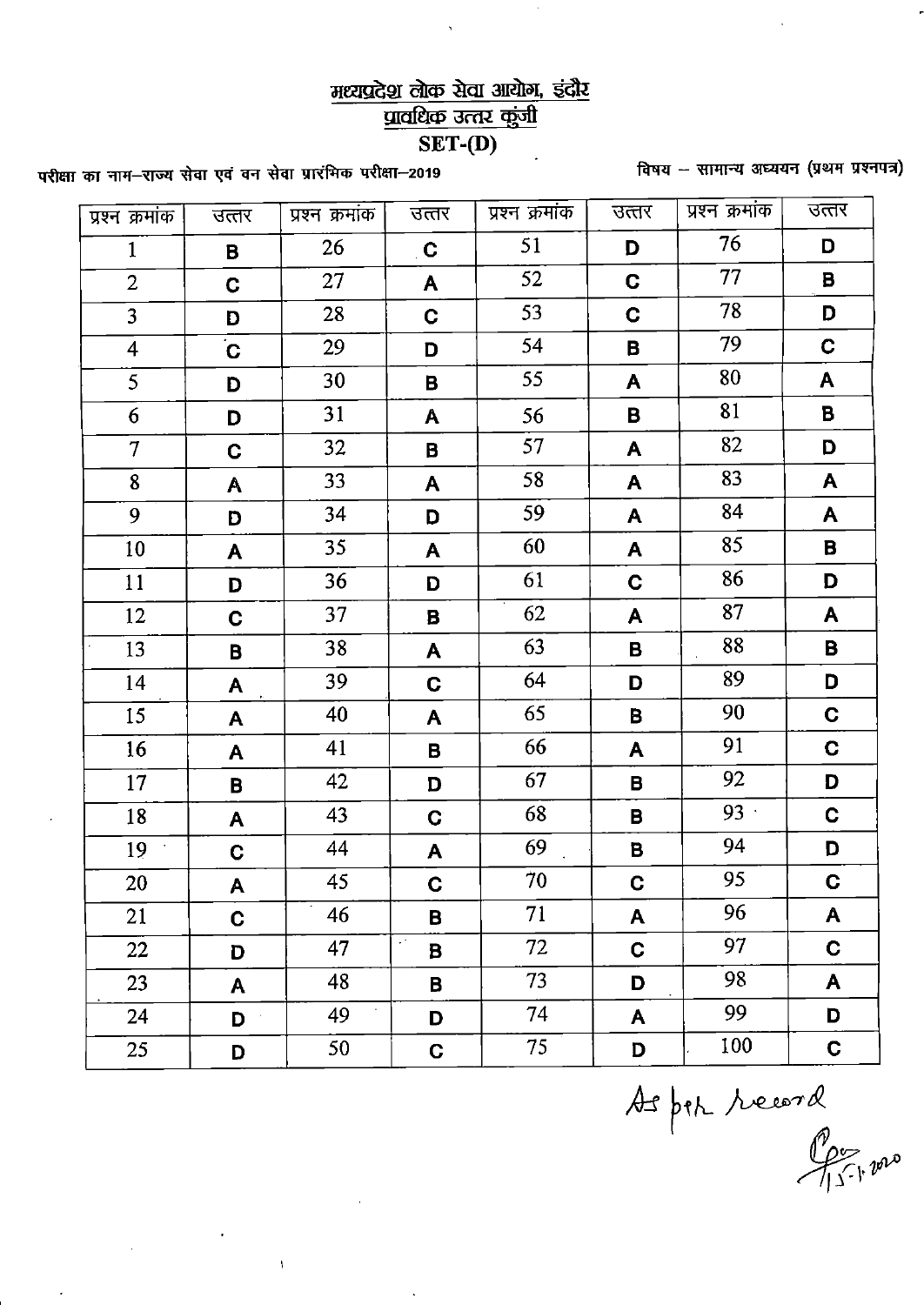# मध्यप्रदेश लोक सेवा आयोग, इंदौर

प्रावधिक उत्तर कुंजी

 $\overline{\text{SET-}(D)}$ 

विषय -- सामान्य अध्ययन (प्रथम प्रश्नपत्र)

परीक्षा का नाम–राज्य सेवा एवं वन सेवा प्रारंभिक परीक्षा–2019

 $\bar{1}$ 

| प्रश्न क्रमांक | उत्तर                     | प्रश्न क्रमांक | उत्तर       | प्रश्न क्रमांक | उत्तर        | प्रश्न क्रमांक | उत्तर       |
|----------------|---------------------------|----------------|-------------|----------------|--------------|----------------|-------------|
| $\mathbf{1}$   | B                         | 26             | C           | 51             | D            | 76             | D           |
| $\overline{2}$ | $\mathbf C$               | 27             | A           | 52             | C            | 77             | B           |
| $\overline{3}$ | D                         | 28             | $\mathbf C$ | 53             | $\mathbf C$  | 78             | D           |
| $\overline{4}$ | $\overline{C}$            | 29             | D           | 54             | B            | 79             | $\mathbf C$ |
| 5              | D                         | 30             | B           | 55             | A            | 80             | A           |
| 6              | D                         | 31             | A           | 56             | B            | 81             | $\mathbf B$ |
| $\overline{7}$ | C                         | 32             | B           | 57             | A            | 82             | D           |
| 8              | A                         | 33             | A           | 58             | A            | 83             | A           |
| 9              | D                         | 34             | D           | 59             | A            | 84             | A           |
| 10             | A                         | 35             | A           | 60             | A            | 85             | $\mathbf B$ |
| 11             | D                         | 36             | D           | 61             | C            | 86             | D           |
| 12             | C                         | 37             | B           | 62             | A            | 87             | A           |
| 13             | B                         | 38             | A           | 63             | B            | 88             | В           |
| 14             | A                         | 39             | C           | 64             | D            | 89             | D           |
| 15             | A                         | 40             | A           | 65             | B            | 90             | $\mathbf C$ |
| 16             | A                         | 41             | B           | 66             | A            | 91             | C           |
| 17             | B                         | 42             | D           | 67             | B            | 92             | D           |
| 18             | A                         | 43             | $\mathbf C$ | 68             | В            | $93 -$         | C           |
| 19             | C                         | 44             | A           | 69             | B            | 94             | D           |
| 20             | $\boldsymbol{\mathsf{A}}$ | 45             | $\mathbf C$ | 70             | $\mathbf C$  | 95             | $\mathbf C$ |
| 21             | $\mathbf C$               | 46             | В           | 71             | A            | 96             | A           |
| 22             | D                         | 47             | $\sim$<br>B | 72             | $\mathbf C$  | 97             | $\mathbf C$ |
| 23             | A                         | 48             | В           | 73             | D            | 98             | A           |
| 24             | D                         | 49             | D           | 74             | $\mathsf{A}$ | 99             | D           |
| 25             | D                         | 50             | C.          | 75             | D            | 100            | $\mathbf C$ |

As per record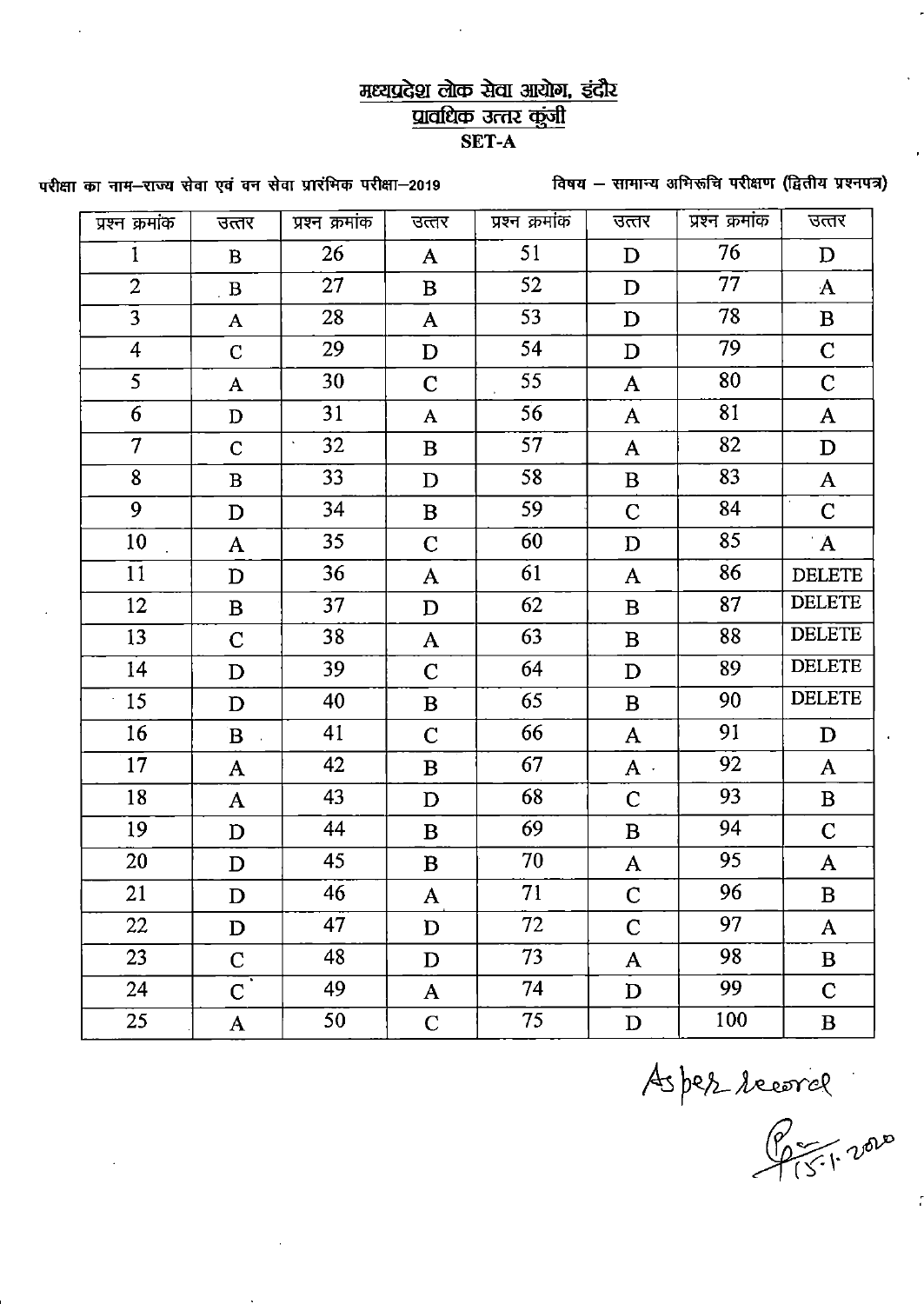### मध्यप्रदेश लोक सेवा आयोग, इंदौर प्रावधिक उत्तर कुंजी SET-A

विषय - सामान्य अभिरूचि परीक्षण (द्वितीय प्रश्नपत्र)

परीक्षा का नाम-राज्य सेवा एवं वन सेवा प्रारंभिक परीक्षा-2019

| प्रश्न क्रमांक | उत्तर                 | प्रश्न क्रमांक            | उत्तर        | प्रश्न क्रमांक | उत्तर        | प्रश्न क्रमांक | उत्तर         |
|----------------|-----------------------|---------------------------|--------------|----------------|--------------|----------------|---------------|
| 1              | $\mathbf{B}$          | 26                        | $\mathbf{A}$ | 51             | D            | 76             | $\mathbf{D}$  |
| $\overline{2}$ | $\mathbf{B}$          | 27                        | $\bf{B}$     | 52             | D            | 77             | $\mathbf{A}$  |
| $\overline{3}$ | $\mathbf{A}$          | 28                        | $\mathbf{A}$ | 53             | D            | 78             | $\bf{B}$      |
| $\overline{4}$ | $\mathbf C$           | 29                        | $\mathbf D$  | 54             | $\mathbf D$  | 79             | $\mathbf C$   |
| 5              | $\mathbf{A}$          | 30                        | $\mathbf C$  | 55             | $\mathbf{A}$ | 80             | $\mathbf C$   |
| 6              | $\mathbf D$           | 31                        | $\mathbf{A}$ | 56             | ${\bf A}$    | 81             | $\mathbf{A}$  |
| $\overline{7}$ | $\mathbf C$           | 32<br>$\hat{\phantom{a}}$ | B            | 57             | $\mathbf{A}$ | 82             | $\mathbf D$   |
| 8              | $\bf{B}$              | 33                        | D            | 58             | $\bf{B}$     | 83             | $\mathbf{A}$  |
| 9              | $\mathbf D$           | 34                        | $\bf{B}$     | 59             | $\mathbf C$  | 84             | $\mathbf C$   |
| 10             | ${\bf A}$             | 35                        | $\mathbf C$  | 60             | $\mathbf D$  | 85             | $\mathbf{A}$  |
| 11             | $\mathbf D$           | 36                        | ${\bf A}$    | 61             | A            | 86             | <b>DELETE</b> |
| 12             | $\bf{B}$              | 37                        | $\mathbf D$  | 62             | $\bf{B}$     | 87             | <b>DELETE</b> |
| 13             | $\mathbf C$           | 38                        | ${\bf A}$    | 63             | $\bf{B}$     | 88             | <b>DELETE</b> |
| 14             | $\mathbf D$           | 39                        | $\mathbf C$  | 64             | $\mathbf D$  | 89             | <b>DELETE</b> |
| 15             | $\mathbf D$           | 40                        | $\bf{B}$     | 65             | $\bf{B}$     | 90             | <b>DELETE</b> |
| 16             | $\mathbf{B}$          | 41                        | $\mathbf C$  | 66             | $\mathbf{A}$ | 91             | $\mathbf D$   |
| 17             | $\mathbf{A}$          | 42                        | $\bf{B}$     | 67             | $A$ .        | 92             | $\mathbf{A}$  |
| 18             | $\mathbf{A}$          | 43                        | $\mathbf D$  | 68             | $\mathbf C$  | 93             | $\bf{B}$      |
| 19             | $\mathbf D$           | 44                        | $\bf{B}$     | 69             | B            | 94             | $\mathbf C$   |
| 20             | $\mathbf D$           | 45                        | $\bf{B}$     | 70             | A            | 95             | A             |
| 21             | $\mathbf D$           | 46                        | ${\bf A}$    | 71             | $\mathsf{C}$ | 96             | $\, {\bf B}$  |
| 22             | $\mathbf D$           | 47                        | $\mathbf D$  | 72             | $\mathsf C$  | 97             | A             |
| 23             | $\mathbf{C}$          | 48                        | D            | 73             | $\mathbf{A}$ | 98             | $\bf{B}$      |
| 24             | $\overline{\text{C}}$ | 49                        | $\mathbf{A}$ | 74             | $\mathbf D$  | 99             | $\mathbf C$   |
| 25             | ${\bf A}$             | 50                        | $\mathbf C$  | 75             | $\mathbf D$  | 100            | $\bf{B}$      |

Aspez recorde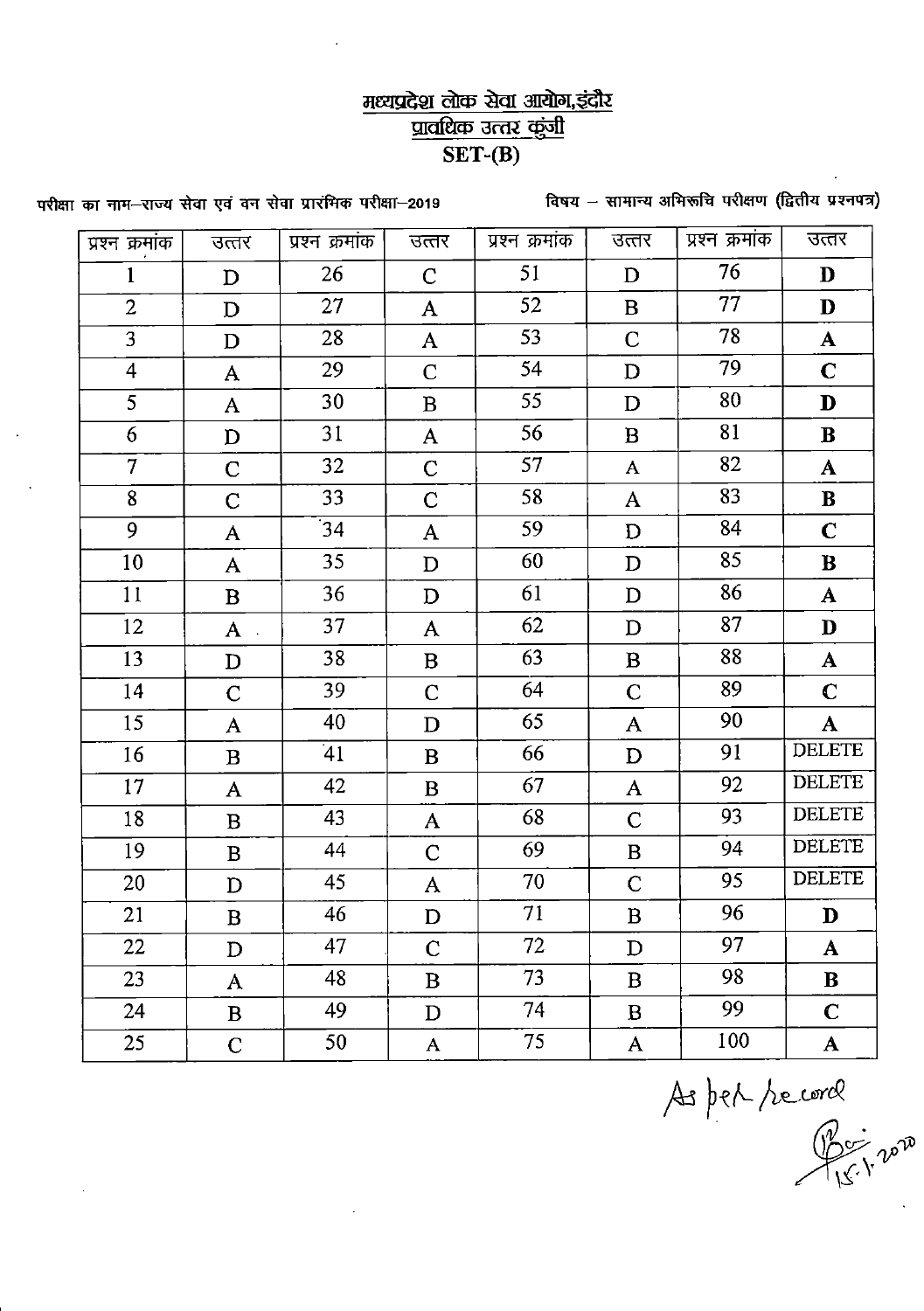## मध्यप्रदेश लोक सेवा आयोग, इंदौर प्रावधिक उत्तर कुंजी  $\overline{\text{SET-(B)}}$

विषय - सामान्य अभिरूचि परीक्षण (द्वितीय प्रश्नपत्र)

परीक्षा का नाम-राज्य सेवा एवं वन सेवा प्रारंभिक परीक्षा-2019

|                |              |                | उत्तर        | प्रश्न क्रमांक | उत्तर        | प्रश्न क्रमांक | उत्तर         |
|----------------|--------------|----------------|--------------|----------------|--------------|----------------|---------------|
| प्रश्न क्रमांक | उत्तर        | प्रश्न क्रमांक |              |                |              |                |               |
| $\mathbf{1}$   | $\mathbf{D}$ | 26             | $\mathbf C$  | 51             | $\mathbf{D}$ | 76             | D             |
| $\overline{2}$ | D            | 27             | $\mathbf{A}$ | 52             | $\bf{B}$     | 77             | D             |
| $\overline{3}$ | D            | 28             | $\mathbf{A}$ | 53             | $\mathbf C$  | 78             | ${\bf A}$     |
| $\overline{4}$ | $\mathbf{A}$ | 29             | $\mathbf C$  | 54             | $\mathbf D$  | 79             | $\mathbf C$   |
| 5              | A            | 30             | $\bf{B}$     | 55             | $\mathbf D$  | 80             | $\mathbf D$   |
| 6              | $\mathbf D$  | 31             | $\mathbf{A}$ | 56             | $\bf{B}$     | 81             | ${\bf B}$     |
| $\overline{7}$ | $\mathbf C$  | 32             | $\mathbf C$  | 57             | $\mathbf{A}$ | 82             | $\mathbf{A}$  |
| 8              | $\mathbf C$  | 33             | $\mathbf C$  | 58             | $\mathbf{A}$ | 83             | ${\bf B}$     |
| 9              | $\mathbf{A}$ | 34             | $\mathbf{A}$ | 59             | $\mathbf D$  | 84             | $\mathbf C$   |
| 10             | $\mathbf{A}$ | 35             | D            | 60             | $\mathbf D$  | 85             | $\bf{B}$      |
| 11             | $\bf{B}$     | 36             | $\mathbf D$  | 61             | $\mathbf D$  | 86             | $\mathbf{A}$  |
| 12             | $\mathbf{A}$ | 37             | $\mathbf{A}$ | 62             | $\mathbf D$  | 87             | D             |
| 13             | ${\bf D}$    | 38             | $\bf{B}$     | 63             | $\bf{B}$     | 88             | $\mathbf{A}$  |
| 14             | $\mathbf C$  | 39             | $\mathsf{C}$ | 64             | $\mathbf C$  | 89             | $\mathbf C$   |
| 15             | ${\bf A}$    | 40             | $\mathbf D$  | 65             | $\mathbf{A}$ | 90             | $\mathbf{A}$  |
| 16             | $\mathbf{B}$ | 41             | $\mathbf{B}$ | 66             | $\mathbf D$  | 91             | <b>DELETE</b> |
| 17             | $\mathbf{A}$ | 42             | $\bf{B}$     | 67             | $\mathbf{A}$ | 92             | <b>DELETE</b> |
| 18             | $\mathbf{B}$ | 43             | $\mathbf{A}$ | 68             | $\mathbf C$  | 93             | <b>DELETE</b> |
| 19             | $\bf{B}$     | 44             | $\mathbf C$  | 69             | $\bf{B}$     | 94             | <b>DELETE</b> |
| 20             | $\mathbf D$  | 45             | ${\bf A}$    | 70             | $\mathbf C$  | 95             | <b>DELETE</b> |
| 21             | $\bf{B}$     | 46             | $\mathbf{D}$ | 71             | $\bf{B}$     | 96             | $\mathbf{D}$  |
| 22             | D            | 47             | $\mathbf C$  | 72             | D            | 97             | ${\bf A}$     |
| 23             | A            | 48             | B            | 73             | B            | 98             | B             |
| 24             | $\mathbf{B}$ | 49             | $\mathbf{D}$ | 74             | $\bf{B}$     | 99             | $\mathbf C$   |
| 25             | $\mathbf C$  | 50             | $\mathbf{A}$ | 75             | $\mathbf{A}$ | 100            | ${\bf A}$     |

As per record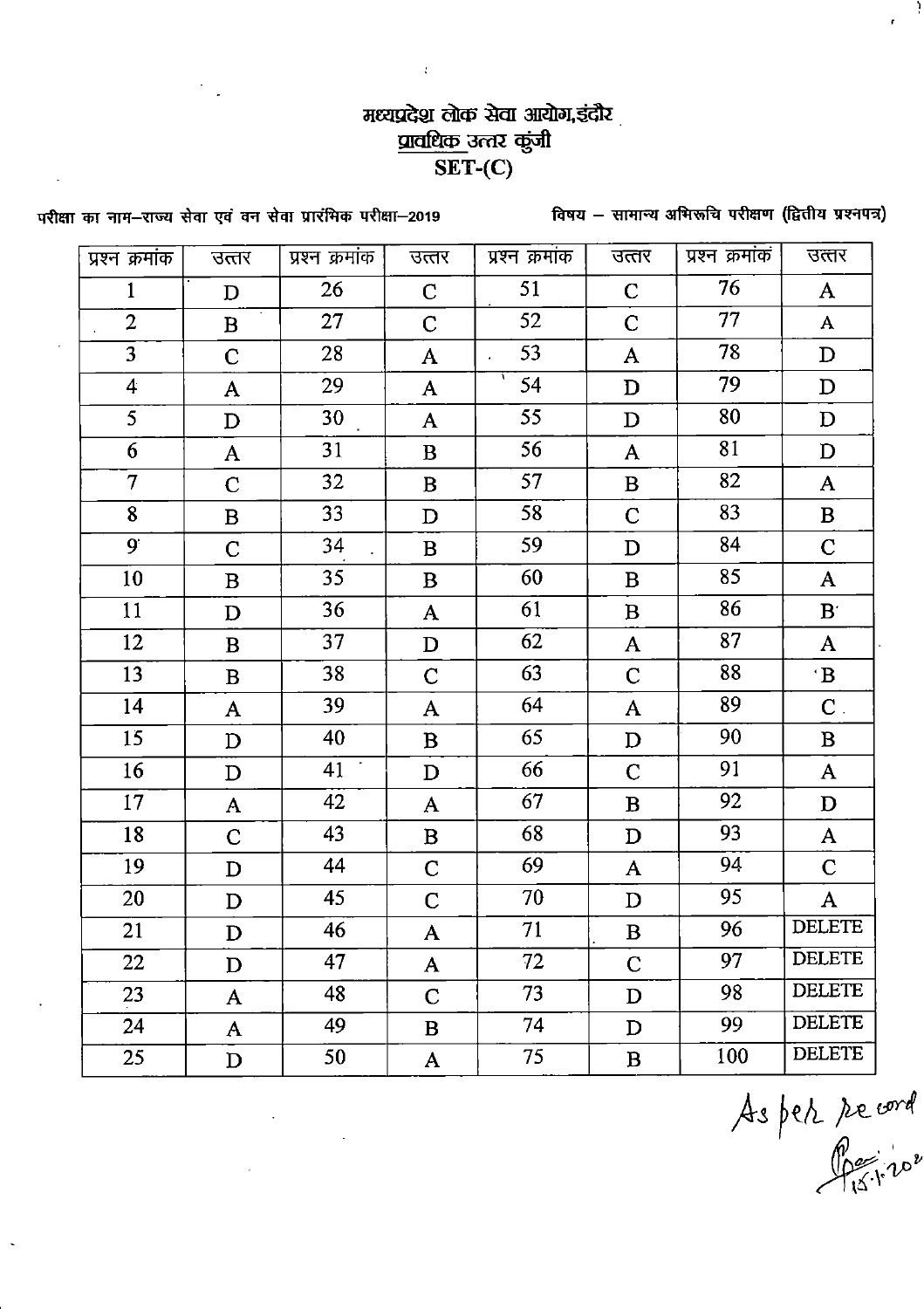## मध्यप्रदेश लोक सेवा आयोग,इंदौर <u>प्रावधिक उत्तर कुंजी</u>  $\overline{\text{SET}}$ -(C)

 $\ddot{\cdot}$ 

विषय - सामान्य अभिरूचि परीक्षण (द्वितीय प्रश्नपत्र)

परीक्षा का नाम-राज्य सेवा एवं वन सेवा प्रारंभिक परीक्षा-2019

| प्रश्न क्रमांक    | उत्तर          | प्रश्न क्रमांक | उत्तर        | प्रश्न क्रमांक | उत्तर        | प्रश्न क्रमांक | उत्तर                |
|-------------------|----------------|----------------|--------------|----------------|--------------|----------------|----------------------|
| 1                 | D              | 26             | $\mathbf C$  | 51             | $\mathbf C$  | 76             | $\mathbf{A}$         |
| $\overline{2}$    | $\mathbf B$    | 27             | $\mathbf C$  | 52             | $\mathbf C$  | 77             | A                    |
| 3                 | $\mathbf C$    | 28             | A            | 53             | $\mathbf{A}$ | 78             | $\mathbf D$          |
| $\overline{4}$    | A              | 29             | A            | A.<br>54       | $\mathbf D$  | 79             | $\mathbf D$          |
| 5                 | $\mathbf D$    | 30             | $\mathbf{A}$ | 55             | $\mathbf D$  | 80             | D                    |
| 6                 | $\mathbf{A}$   | 31             | $\bf{B}$     | 56             | $\mathbf{A}$ | 81             | $\mathbf D$          |
| $\overline{\tau}$ | $\overline{C}$ | 32             | $\bf{B}$     | 57             | $\, {\bf B}$ | 82             | $\mathbf{A}$         |
| 8                 | $\bf{B}$       | 33             | D            | 58             | $\mathbf C$  | 83             | $\bf{B}$             |
| $9^{\circ}$       | $\mathbf C$    | 34             | $\bf{B}$     | 59             | D            | 84             | $\mathbf C$          |
| 10                | $\bf{B}$       | 35             | $\bf{B}$     | 60             | $\bf{B}$     | 85             | $\mathbf{A}$         |
| 11                | $\mathbf D$    | 36             | A            | 61             | $\bf{B}$     | 86             | $\mathbf{B}^{\cdot}$ |
| 12                | B              | 37             | $\mathbf D$  | 62             | $\mathbf{A}$ | 87             | ${\bf A}$            |
| 13                | $\bf{B}$       | 38             | $\mathbf C$  | 63             | $\mathsf{C}$ | 88             | $\mathbf{B}$         |
| 14                | A              | 39             | A            | 64             | A            | 89             | $\mathbf C$ .        |
| 15                | $\mathbf D$    | 40             | $\bf{B}$     | 65             | D            | 90             | $\mathbf B$          |
| 16                | D              | 41             | D            | 66             | $\mathbf C$  | 91             | A                    |
| 17                | A              | 42             | A            | 67             | $\bf{B}$     | 92             | $\mathbf D$          |
| 18                | $\mathbf C$    | 43             | $\mathbf B$  | 68             | D            | 93             | A                    |
| 19                | D              | 44             | $\mathbf C$  | 69             | A            | 94             | $\mathbf C$          |
| 20                | $\mathbf D$    | 45             | $\mathsf C$  | 70             | $\mathbf D$  | 95             | ${\bf A}$            |
| 21                | D              | 46             | A            | 71             | $\bf{B}$     | 96             | DELETE               |
| 22                | D              | 47             | $\mathbf{A}$ | 72             | $\mathbf C$  | 97             | <b>DELETE</b>        |
| 23                | $\mathbf{A}$   | 48             | $\mathbf{C}$ | 73             | D            | 98             | <b>DELETE</b>        |
| 24                | ${\bf A}$      | 49             | $\mathbf{B}$ | 74             | D            | 99             | <b>DELETE</b>        |
| 25                | D              | 50             | ${\bf A}$    | 75             | $\bf{B}$     | 100            | <b>DELETE</b>        |

 $\ddot{\phantom{a}}$ 

As per record